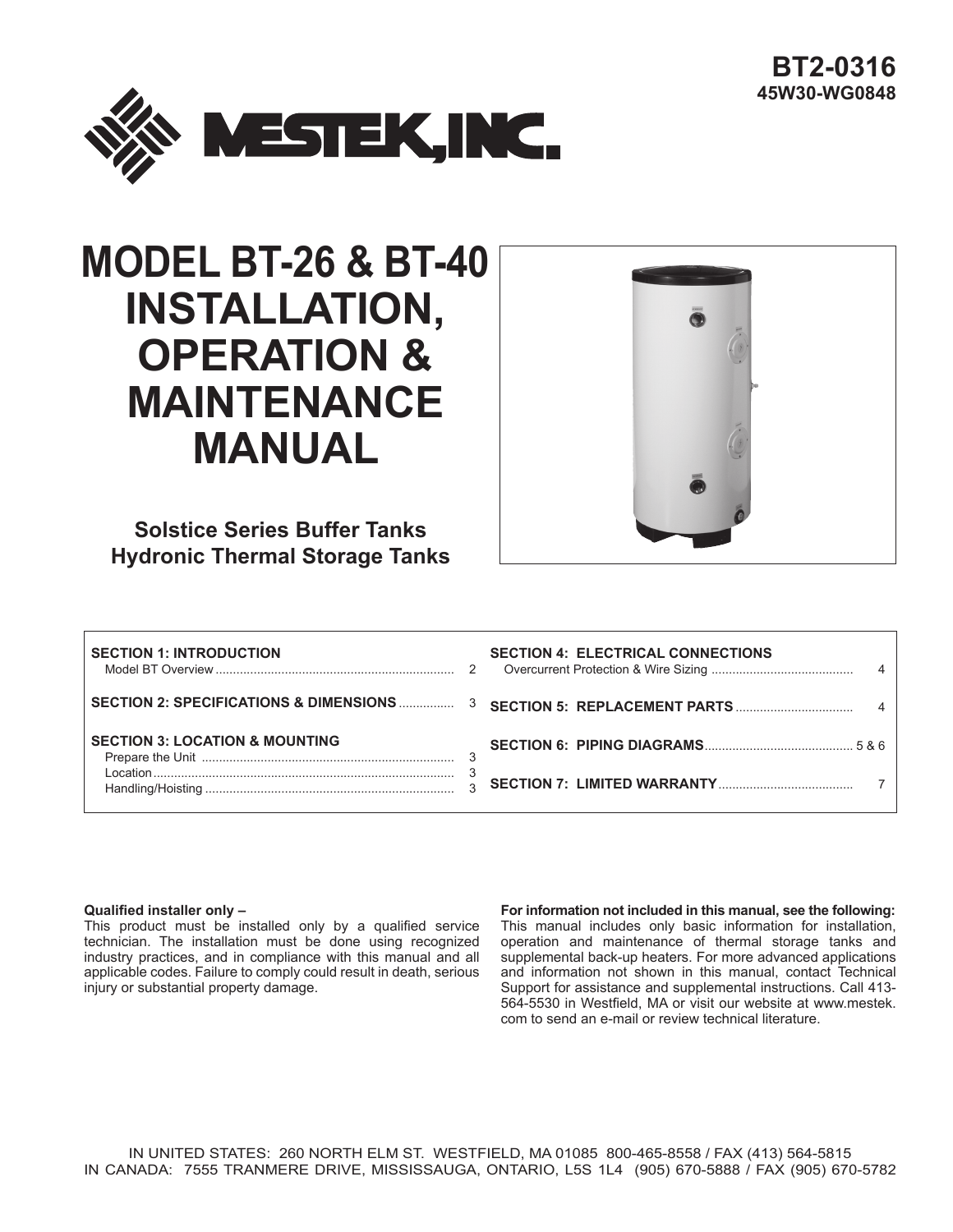

# **MODEL BT-26 & BT-40 INSTALLATION, OPERATION & MAINTENANCE MANUAL**



**Solstice Series Buffer Tanks Hydronic Thermal Storage Tanks**

| <b>SECTION 1: INTRODUCTION</b>            | <b>SECTION 4: ELECTRICAL CONNECTIONS</b> |
|-------------------------------------------|------------------------------------------|
|                                           |                                          |
| <b>SECTION 3: LOCATION &amp; MOUNTING</b> |                                          |
|                                           |                                          |

#### **Qualified installer only –**

This product must be installed only by a qualified service technician. The installation must be done using recognized industry practices, and in compliance with this manual and all applicable codes. Failure to comply could result in death, serious injury or substantial property damage.

**For information not included in this manual, see the following:** This manual includes only basic information for installation, operation and maintenance of thermal storage tanks and supplemental back-up heaters. For more advanced applications and information not shown in this manual, contact Technical Support for assistance and supplemental instructions. Call 413- 564-5530 in Westfield, MA or visit our website at www.mestek. com to send an e-mail or review technical literature.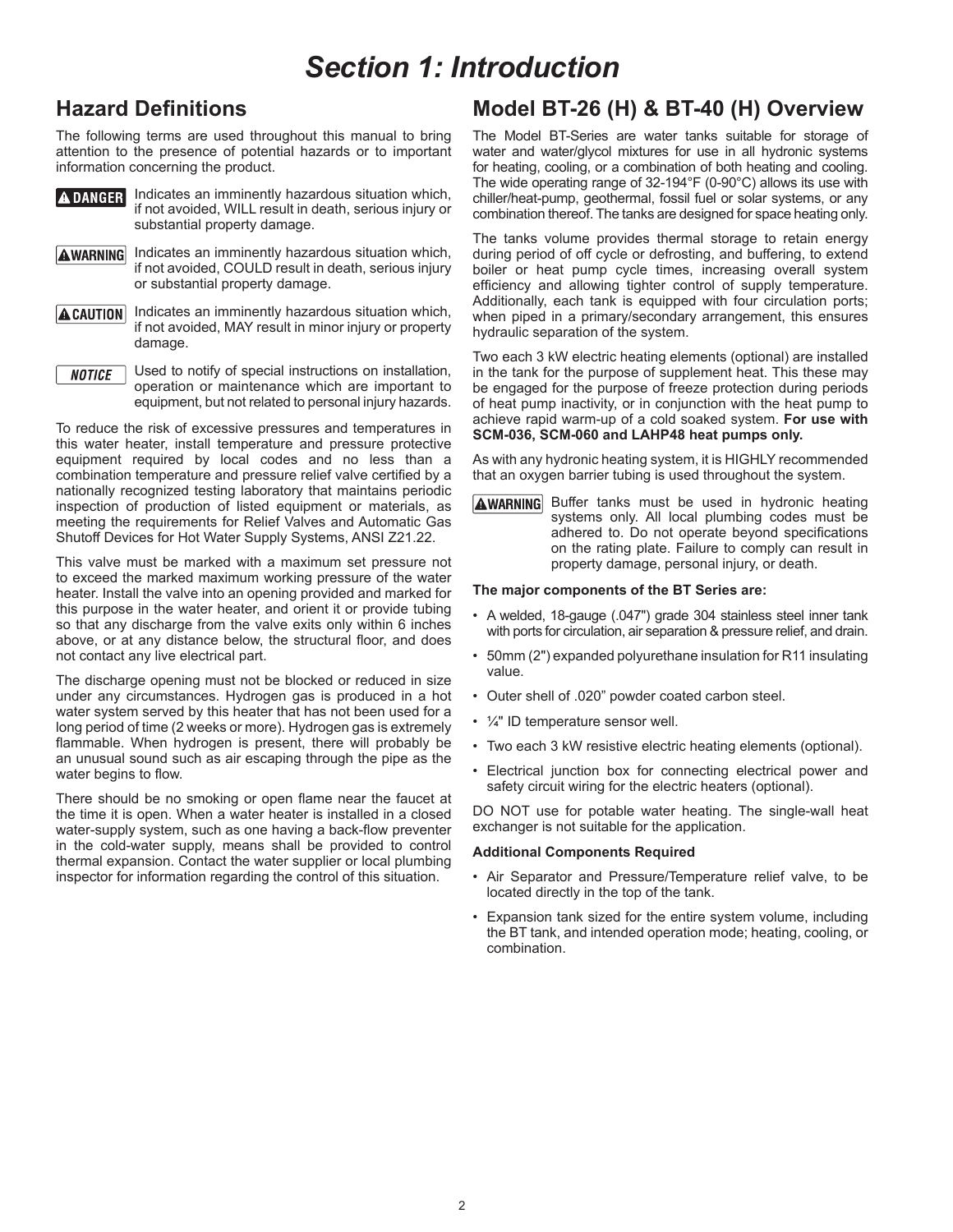### *Section 1: Introduction*

### **Hazard Definitions**

The following terms are used throughout this manual to bring attention to the presence of potential hazards or to important information concerning the product.

| <b>ADANGER</b> Indicates an imminently hazardous situation which,<br>if not avoided, WILL result in death, serious injury or |
|------------------------------------------------------------------------------------------------------------------------------|
| substantial property damage.                                                                                                 |

- **AWARNING** Indicates an imminently hazardous situation which, if not avoided, COULD result in death, serious injury or substantial property damage.
- **ACAUTION** Indicates an imminently hazardous situation which, if not avoided, MAY result in minor injury or property damage.
- Used to notify of special instructions on installation, **NOTICE** operation or maintenance which are important to equipment, but not related to personal injury hazards.

To reduce the risk of excessive pressures and temperatures in this water heater, install temperature and pressure protective equipment required by local codes and no less than a combination temperature and pressure relief valve certified by a nationally recognized testing laboratory that maintains periodic inspection of production of listed equipment or materials, as meeting the requirements for Relief Valves and Automatic Gas Shutoff Devices for Hot Water Supply Systems, ANSI Z21.22.

This valve must be marked with a maximum set pressure not to exceed the marked maximum working pressure of the water heater. Install the valve into an opening provided and marked for this purpose in the water heater, and orient it or provide tubing so that any discharge from the valve exits only within 6 inches above, or at any distance below, the structural floor, and does not contact any live electrical part.

The discharge opening must not be blocked or reduced in size under any circumstances. Hydrogen gas is produced in a hot water system served by this heater that has not been used for a long period of time (2 weeks or more). Hydrogen gas is extremely flammable. When hydrogen is present, there will probably be an unusual sound such as air escaping through the pipe as the water begins to flow.

There should be no smoking or open flame near the faucet at the time it is open. When a water heater is installed in a closed water-supply system, such as one having a back-flow preventer in the cold-water supply, means shall be provided to control thermal expansion. Contact the water supplier or local plumbing inspector for information regarding the control of this situation.

### **Model BT-26 (H) & BT-40 (H) Overview**

The Model BT-Series are water tanks suitable for storage of water and water/glycol mixtures for use in all hydronic systems for heating, cooling, or a combination of both heating and cooling. The wide operating range of 32-194°F (0-90°C) allows its use with chiller/heat-pump, geothermal, fossil fuel or solar systems, or any combination thereof. The tanks are designed for space heating only.

The tanks volume provides thermal storage to retain energy during period of off cycle or defrosting, and buffering, to extend boiler or heat pump cycle times, increasing overall system efficiency and allowing tighter control of supply temperature. Additionally, each tank is equipped with four circulation ports; when piped in a primary/secondary arrangement, this ensures hydraulic separation of the system.

Two each 3 kW electric heating elements (optional) are installed in the tank for the purpose of supplement heat. This these may be engaged for the purpose of freeze protection during periods of heat pump inactivity, or in conjunction with the heat pump to achieve rapid warm-up of a cold soaked system. **For use with SCM-036, SCM-060 and LAHP48 heat pumps only.**

As with any hydronic heating system, it is HIGHLY recommended that an oxygen barrier tubing is used throughout the system.

AWARNING Buffer tanks must be used in hydronic heating systems only. All local plumbing codes must be adhered to. Do not operate beyond specifications on the rating plate. Failure to comply can result in property damage, personal injury, or death.

#### **The major components of the BT Series are:**

- A welded, 18-gauge (.047") grade 304 stainless steel inner tank with ports for circulation, air separation & pressure relief, and drain.
- 50mm (2") expanded polyurethane insulation for R11 insulating value.
- Outer shell of .020" powder coated carbon steel.
- $\frac{1}{4}$ " ID temperature sensor well.
- Two each 3 kW resistive electric heating elements (optional).
- Electrical junction box for connecting electrical power and safety circuit wiring for the electric heaters (optional).

DO NOT use for potable water heating. The single-wall heat exchanger is not suitable for the application.

#### **Additional Components Required**

- Air Separator and Pressure/Temperature relief valve, to be located directly in the top of the tank.
- Expansion tank sized for the entire system volume, including the BT tank, and intended operation mode; heating, cooling, or combination.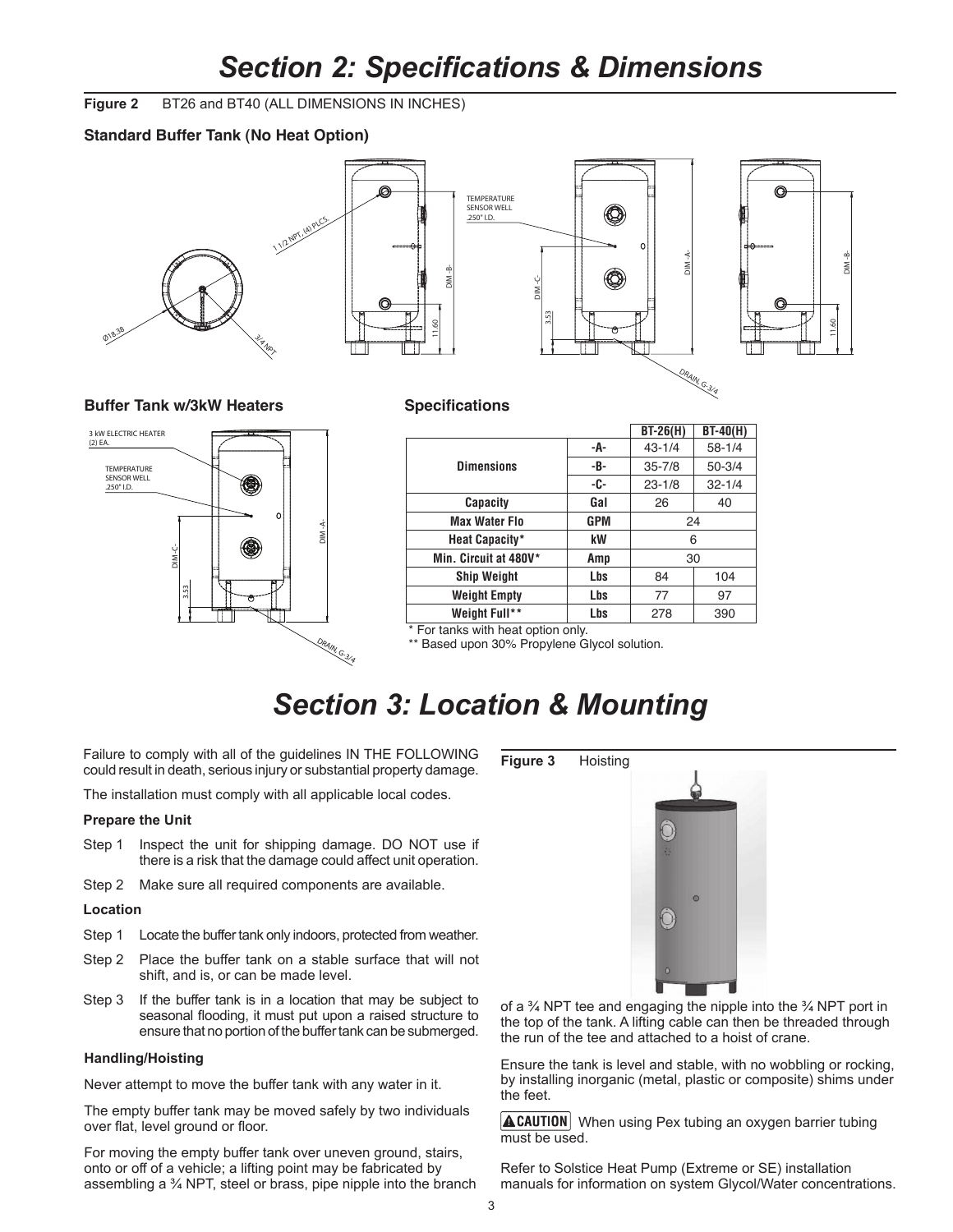### *Section 2: Specifications & Dimensions* tions & Dime

**Figure 2** BT26 and BT40 (ALL DIMENSIONS IN INCHES)

### **Standard Buffer Tank (No Heat Option)**



#### **Buffer Tank w/3kW Heaters Specifications**



|                       |            | $BT-26(H)$ | $BT-40(H)$ |
|-----------------------|------------|------------|------------|
|                       | -A-        | $43 - 1/4$ | $58 - 1/4$ |
| <b>Dimensions</b>     | -В-        | $35 - 7/8$ | $50 - 3/4$ |
|                       | -C-        | $23 - 1/8$ | $32 - 1/4$ |
| <b>Capacity</b>       | Gal        | 26         | 40         |
| <b>Max Water Flo</b>  | <b>GPM</b> | 24         |            |
| Heat Capacity*        | kW         | 6          |            |
| Min. Circuit at 480V* | Amp        | 30         |            |
| <b>Ship Weight</b>    | Lbs        | 84         | 104        |
| <b>Weight Empty</b>   | Lbs        | 77         | 97         |
| Weight Full**         | Lbs        | 278        | 390        |

For tanks with heat option only.

\*\* Based upon 30% Propylene Glycol solution.

### *Section 3: Location & Mounting*

Failure to comply with all of the guidelines IN THE FOLLOWING could result in death, serious injury or substantial property damage.

The installation must comply with all applicable local codes.

#### **Prepare the Unit**

- Step 1 Inspect the unit for shipping damage. DO NOT use if there is a risk that the damage could affect unit operation.
- Step 2 Make sure all required components are available.

#### **Location**

- Step 1 Locate the buffer tank only indoors, protected from weather.
- Step 2 Place the buffer tank on a stable surface that will not shift, and is, or can be made level.
- Step 3 If the buffer tank is in a location that may be subject to seasonal flooding, it must put upon a raised structure to ensure that no portion of the buffer tank can be submerged.

#### **Handling/Hoisting**

Never attempt to move the buffer tank with any water in it.

The empty buffer tank may be moved safely by two individuals over flat, level ground or floor.

For moving the empty buffer tank over uneven ground, stairs, onto or off of a vehicle; a lifting point may be fabricated by assembling a ¾ NPT, steel or brass, pipe nipple into the branch





of a ¾ NPT tee and engaging the nipple into the ¾ NPT port in the top of the tank. A lifting cable can then be threaded through the run of the tee and attached to a hoist of crane.

Ensure the tank is level and stable, with no wobbling or rocking, by installing inorganic (metal, plastic or composite) shims under the feet.

 $\Delta$  CAUTION When using Pex tubing an oxygen barrier tubing must be used.

Refer to Solstice Heat Pump (Extreme or SE) installation manuals for information on system Glycol/Water concentrations.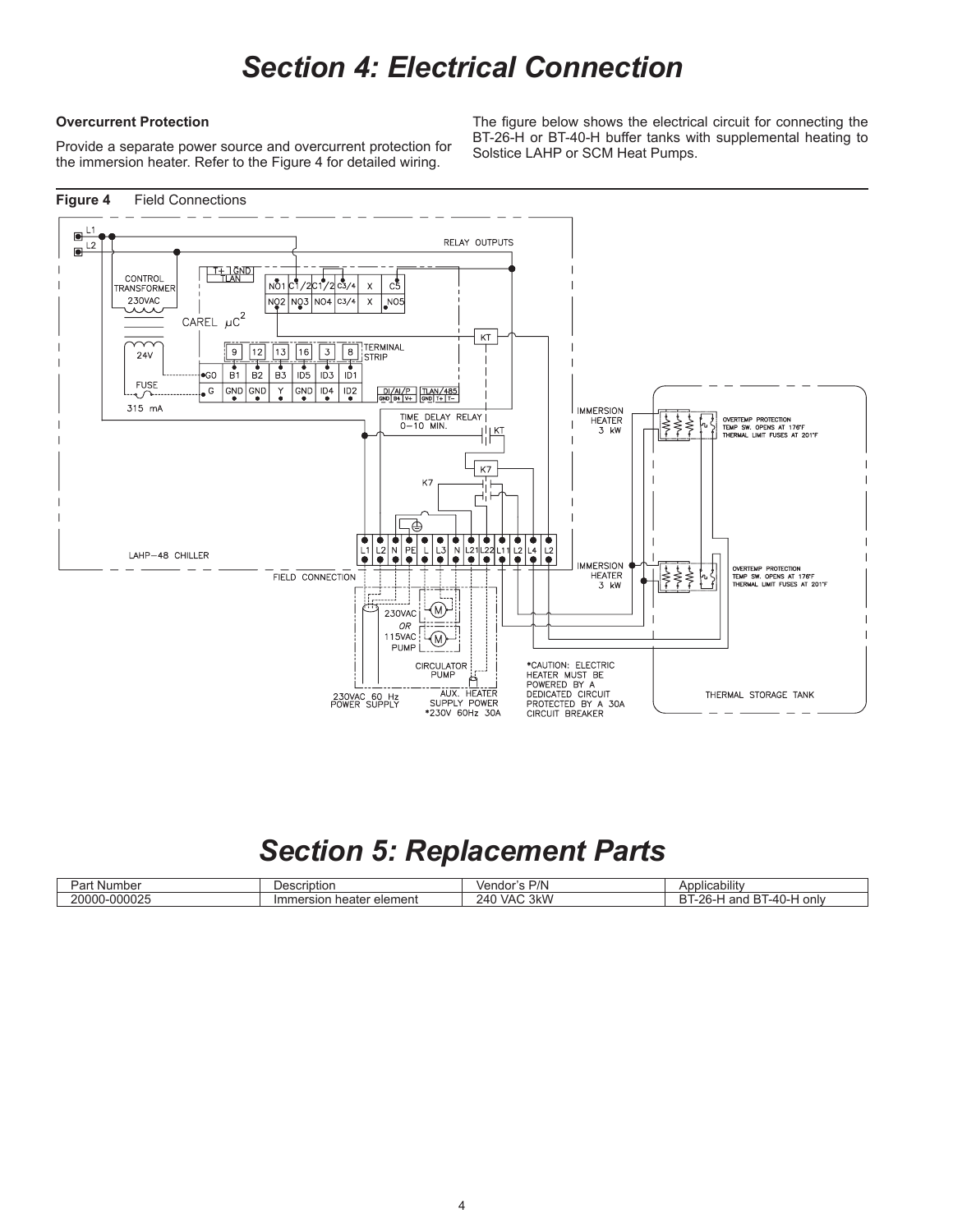### *Section 4: Electrical Connection*

#### **Overcurrent Protection**

Provide a separate power source and overcurrent protection for the immersion heater. Refer to the Figure 4 for detailed wiring.

The figure below shows the electrical circuit for connecting the BT-26-H or BT-40-H buffer tanks with supplemental heating to Solstice LAHP or SCM Heat Pumps.



### *Section 5: Replacement Parts*

| ` <sup>ว</sup> ลเ.<br>Nur.<br>1 INCI | 000000000<br>1Dtior<br>vesu                             | D/N<br>$V$ $F$<br>iuc. | <br>יסרוסי∩                                         |
|--------------------------------------|---------------------------------------------------------|------------------------|-----------------------------------------------------|
| 000025<br>20000                      | element<br>ot∆r<br>'mr<br>nea<br>- 11<br>วเธา<br>ושופ ו | 3kW<br>`VAL<br>24′     | $-$<br>only<br>.40 I J<br>$\frac{1}{2}$<br>. .<br>∼ |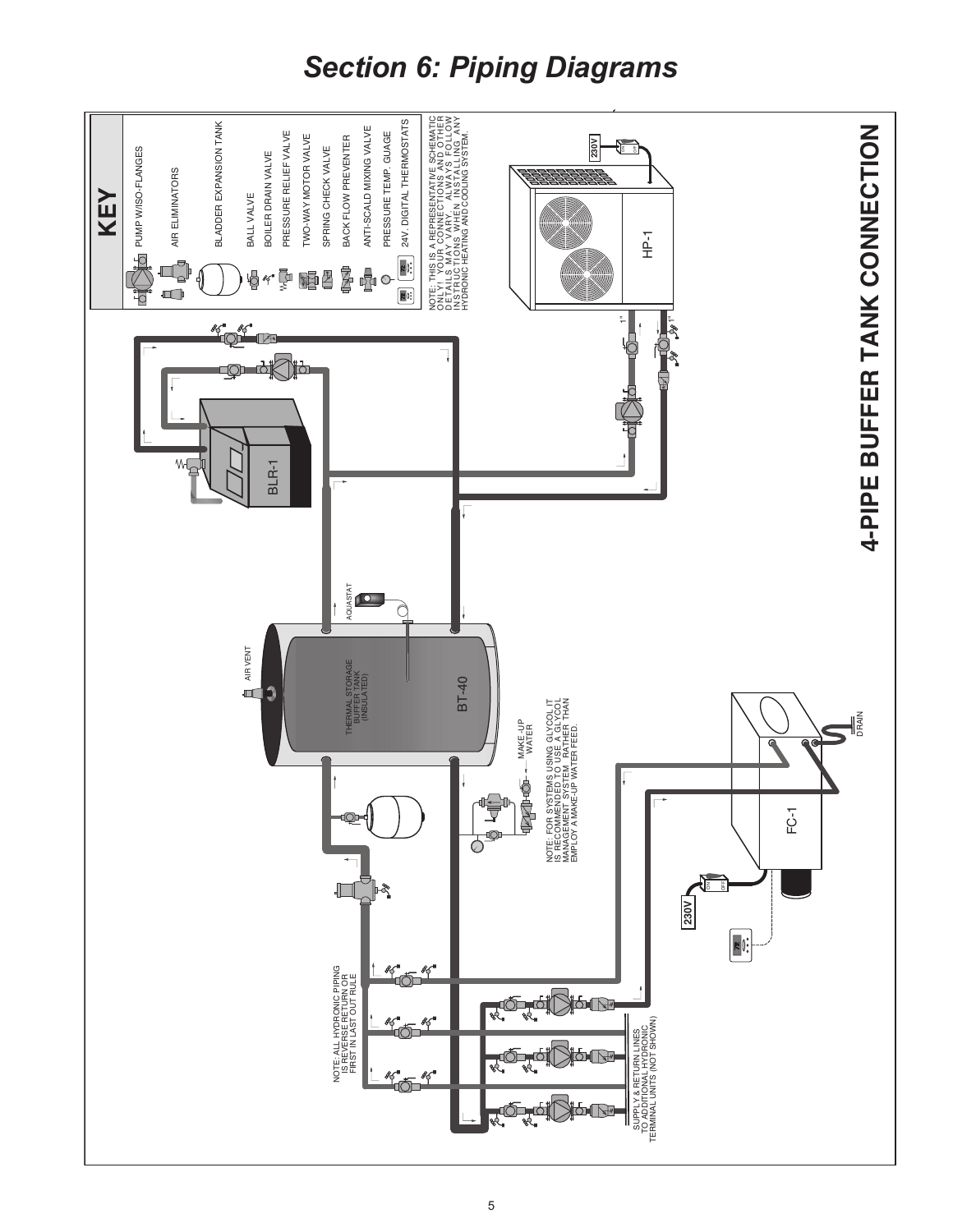# *Section 6: Piping Diagrams*

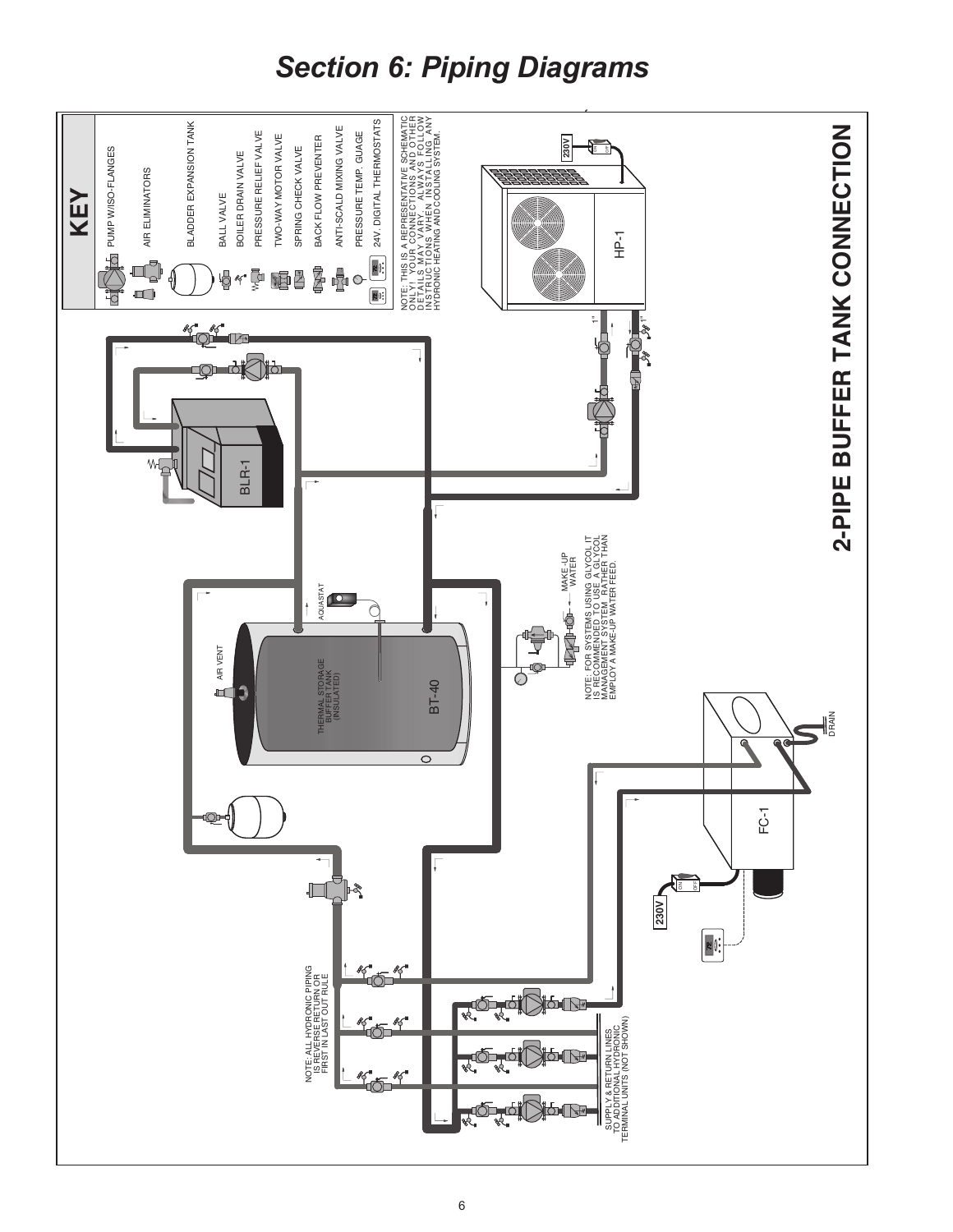# *Section 6: Piping Diagrams*

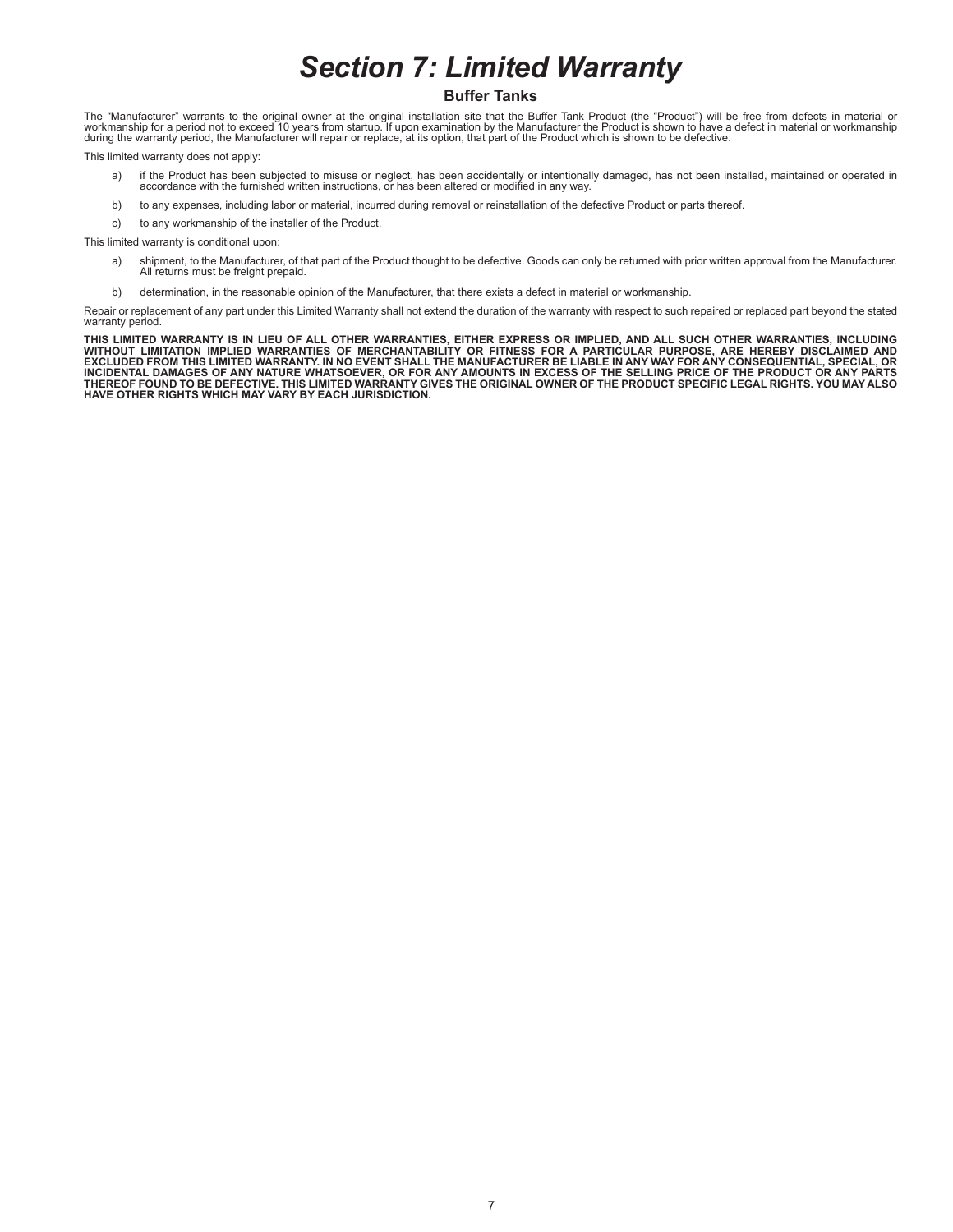# *Section 7: Limited Warranty*

#### **Buffer Tanks**

The "Manufacturer" warrants to the original owner at the original installation site that the Buffer Tank Product (the "Product") will be free from defects in material or<br>workmanship for a period not to exceed 10 years from during the warranty period, the Manufacturer will repair or replace, at its option, that part of the Product which is shown to be defective.

This limited warranty does not apply:

- a) if the Product has been subjected to misuse or neglect, has been accidentally or intentionally damaged, has not been installed, maintained or operated in<br>accordance with the furnished written instructions, or has been a
- b) to any expenses, including labor or material, incurred during removal or reinstallation of the defective Product or parts thereof.
- c) to any workmanship of the installer of the Product.

This limited warranty is conditional upon:

- a) shipment, to the Manufacturer, of that part of the Product thought to be defective. Goods can only be returned with prior written approval from the Manufacturer. All returns must be freight prepaid.
- b) determination, in the reasonable opinion of the Manufacturer, that there exists a defect in material or workmanship.

Repair or replacement of any part under this Limited Warranty shall not extend the duration of the warranty with respect to such repaired or replaced part beyond the stated warranty period.

THIS LIMITED WARRANTY IS IN LIEU OF ALL OTHER WARRANTIES, EITHER EXPRESS OR IMPLIED, AND ALL SUCH OTHER WARRANTIES, INCLUDING<br>WITHOUT LIMITATION IMPLIED WARRANTIES OF MERCHANTABILITY OR FITNESS FOR A PARTICULAR PURPOSE, AR **HAVE OTHER RIGHTS WHICH MAY VARY BY EACH JURISDICTION.**